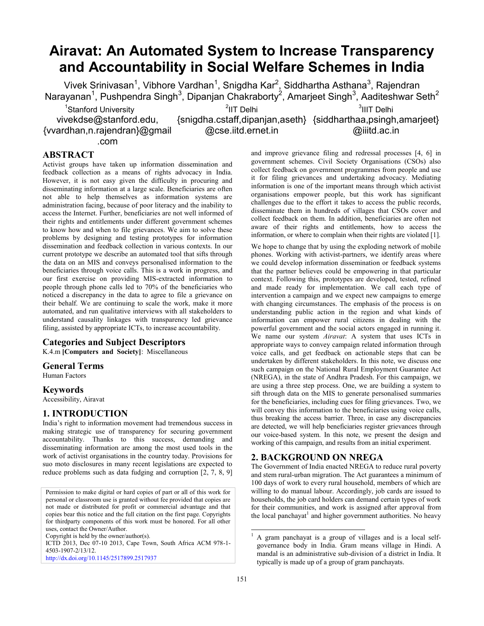# **Airavat: An Automated System to Increase Transparency and Accountability in Social Welfare Schemes in India**

Vivek Srinivasan<sup>1</sup>, Vibhore Vardhan<sup>1</sup>, Snigdha Kar<sup>2</sup>, Siddhartha Asthana<sup>3</sup>, Rajendran Narayanan<sup>1</sup>, Pushpendra Singh<sup>3</sup>, Dipanjan Chakraborty<sup>2</sup>, Amarjeet Singh<sup>3</sup>, Aaditeshwar Seth<sup>2</sup>

<sup>1</sup>Stanford University

{vvardhan,n.rajendran}@gmail .com

<sup>2</sup>IIT Delhi

 $^3$ IIIT Delhi

[vivekdse@stanford.edu,](mailto:vivekdse@stanford.edu)

{snigdha.cstaff,dipanjan,aseth} {siddharthaa,psingh,amarjeet} @cse.iitd.ernet.in

@iiitd.ac.in

# **ABSTRACT**

Activist groups have taken up information dissemination and feedback collection as a means of rights advocacy in India. However, it is not easy given the difficulty in procuring and disseminating information at a large scale. Beneficiaries are often not able to help themselves as information systems are administration facing, because of poor literacy and the inability to access the Internet. Further, beneficiaries are not well informed of their rights and entitlements under different government schemes to know how and when to file grievances. We aim to solve these problems by designing and testing prototypes for information dissemination and feedback collection in various contexts. In our current prototype we describe an automated tool that sifts through the data on an MIS and conveys personalised information to the beneficiaries through voice calls. This is a work in progress, and our first exercise on providing MIS-extracted information to people through phone calls led to 70% of the beneficiaries who noticed a discrepancy in the data to agree to file a grievance on their behalf. We are continuing to scale the work, make it more automated, and run qualitative interviews with all stakeholders to understand causality linkages with transparency led grievance filing, assisted by appropriate ICTs, to increase accountability.

# **Categories and Subject Descriptors**

K.4.m **[Computers and Society]**: Miscellaneous

**General Terms** 

# Human Factors

# **Keywords**

Accessibility, Airavat

# **1. INTRODUCTION**

India's right to information movement had tremendous success in making strategic use of transparency for securing government accountability. Thanks to this success, demanding and disseminating information are among the most used tools in the work of activist organisations in the country today. Provisions for suo moto disclosures in many recent legislations are expected to reduce problems such as data fudging and corruption [2, 7, 8, 9]

Permission to make digital or hard copies of part or all of this work for personal or classroom use is granted without fee provided that copies are not made or distributed for profit or commercial advantage and that copies bear this notice and the full citation on the first page. Copyrights for thirdparty components of this work must be honored. For all other uses, contact the Owner/Author.

Copyright is held by the owner/author(s).

ICTD 2013, Dec 07-10 2013, Cape Town, South Africa ACM 978-1- 4503-1907-2/13/12.

<http://dx.doi.org/10.1145/2517899.2517937>

and improve grievance filing and redressal processes [4, 6] in government schemes. Civil Society Organisations (CSOs) also collect feedback on government programmes from people and use it for filing grievances and undertaking advocacy. Mediating information is one of the important means through which activist organisations empower people, but this work has significant challenges due to the effort it takes to access the public records, disseminate them in hundreds of villages that CSOs cover and collect feedback on them. In addition, beneficiaries are often not aware of their rights and entitlements, how to access the information, or where to complain when their rights are violated [1].

We hope to change that by using the exploding network of mobile phones. Working with activist-partners, we identify areas where we could develop information dissemination or feedback systems that the partner believes could be empowering in that particular context. Following this, prototypes are developed, tested, refined and made ready for implementation. We call each type of intervention a campaign and we expect new campaigns to emerge with changing circumstances. The emphasis of the process is on understanding public action in the region and what kinds of information can empower rural citizens in dealing with the powerful government and the social actors engaged in running it. We name our system *Airavat*: A system that uses ICTs in appropriate ways to convey campaign related information through voice calls, and get feedback on actionable steps that can be undertaken by different stakeholders. In this note, we discuss one such campaign on the National Rural Employment Guarantee Act (NREGA), in the state of Andhra Pradesh. For this campaign, we are using a three step process. One, we are building a system to sift through data on the MIS to generate personalised summaries for the beneficiaries, including cues for filing grievances. Two, we will convey this information to the beneficiaries using voice calls, thus breaking the access barrier. Three, in case any discrepancies are detected, we will help beneficiaries register grievances through our voice-based system. In this note, we present the design and working of this campaign, and results from an initial experiment.

# **2. BACKGROUND ON NREGA**

The Government of India enacted NREGA to reduce rural poverty and stem rural-urban migration. The Act guarantees a minimum of 100 days of work to every rural household, members of which are willing to do manual labour. Accordingly, job cards are issued to households, the job card holders can demand certain types of work for their communities, and work is assigned after approval from the local panchayat<sup>1</sup> and higher government authorities. No heavy

l

<sup>1</sup> A gram panchayat is a group of villages and is a local selfgovernance body in India. Gram means village in Hindi. A mandal is an administrative sub-division of a district in India. It typically is made up of a group of gram panchayats.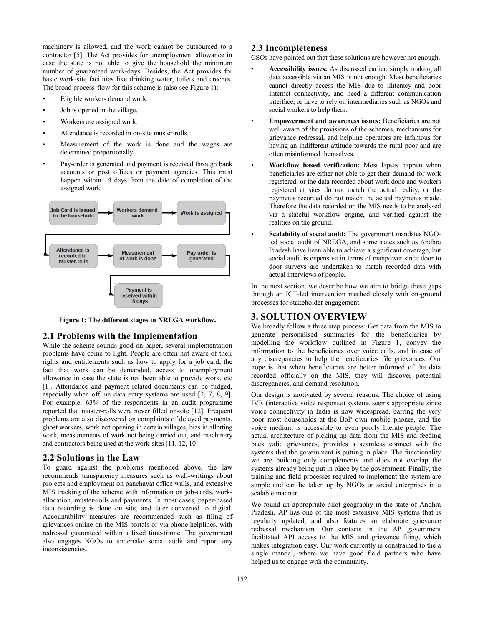machinery is allowed, and the work cannot be outsourced to a contractor [5]. The Act provides for unemployment allowance in case the state is not able to give the household the minimum number of guaranteed work-days. Besides, the Act provides for basic work-site facilities like drinking water, toilets and creches. The broad process-flow for this scheme is (also see Figure 1):

- Eligible workers demand work.
- Job is opened in the village.
- Workers are assigned work.
- Attendance is recorded in on-site muster-rolls.
- Measurement of the work is done and the wages are determined proportionally.
- Pay-order is generated and payment is received through bank accounts or post offices or payment agencies. This must happen within 14 days from the date of completion of the assigned work.



**Figure 1: The different stages in NREGA workflow.** 

#### **2.1 Problems with the Implementation**

While the scheme sounds good on paper, several implementation problems have come to light. People are often not aware of their rights and entitlements such as how to apply for a job card, the fact that work can be demanded, access to unemployment allowance in case the state is not been able to provide work, etc [1]. Attendance and payment related documents can be fudged, especially when offline data entry systems are used [2, 7, 8, 9]. For example, 63% of the respondents in an audit programme reported that muster-rolls were never filled on-site [12]. Frequent problems are also discovered on complaints of delayed payments, ghost workers, work not opening in certain villages, bias in allotting work, measurements of work not being carried out, and machinery and contractors being used at the work-sites [11, 12, 10].

#### **2.2 Solutions in the Law**

To guard against the problems mentioned above, the law recommends transparency measures such as wall-writings about projects and employment on panchayat office walls, and extensive MIS tracking of the scheme with information on job-cards, workallocation, muster-rolls and payments. In most cases, paper-based data recording is done on site, and later converted to digital. Accountability measures are recommended such as filing of grievances online on the MIS portals or via phone helplines, with redressal guaranteed within a fixed time-frame. The government also engages NGOs to undertake social audit and report any inconsistencies.

#### **2.3 Incompleteness**

CSOs have pointed out that these solutions are however not enough.

- **Accessibility issues:** As discussed earlier, simply making all data accessible via an MIS is not enough. Most beneficiaries cannot directly access the MIS due to illiteracy and poor Internet connectivity, and need a different communication interface, or have to rely on intermediaries such as NGOs and social workers to help them.
- **Empowerment and awareness issues:** Beneficiaries are not well aware of the provisions of the schemes, mechanisms for grievance redressal, and helpline operators are infamous for having an indifferent attitude towards the rural poor and are often misinformed themselves.
- **Workflow based verification:** Most lapses happen when beneficiaries are either not able to get their demand for work registered, or the data recorded about work done and workers registered at sites do not match the actual reality, or the payments recorded do not match the actual payments made. Therefore the data recorded on the MIS needs to be analysed via a stateful workflow engine, and verified against the realities on the ground.
- **Scalability of social audit:** The government mandates NGOled social audit of NREGA, and some states such as Andhra Pradesh have been able to achieve a significant coverage, but social audit is expensive in terms of manpower since door to door surveys are undertaken to match recorded data with actual interviews of people.

In the next section, we describe how we aim to bridge these gaps through an ICT-led intervention meshed closely with on-ground processes for stakeholder engagement.

#### **3. SOLUTION OVERVIEW**

We broadly follow a three step process: Get data from the MIS to generate personalised summaries for the beneficiaries by modelling the workflow outlined in Figure 1, convey the information to the beneficiaries over voice calls, and in case of any discrepancies to help the beneficiaries file grievances. Our hope is that when beneficiaries are better informed of the data recorded officially on the MIS, they will discover potential discrepancies, and demand resolution.

Our design is motivated by several reasons. The choice of using IVR (interactive voice response) systems seems appropriate since voice connectivity in India is now widespread, barring the very poor most households at the BoP own mobile phones, and the voice medium is accessible to even poorly literate people. The actual architecture of picking up data from the MIS and feeding back valid grievances, provides a seamless connect with the systems that the government is putting in place. The functionality we are building only complements and does not overlap the systems already being put in place by the government. Finally, the training and field processes required to implement the system are simple and can be taken up by NGOs or social enterprises in a scalable manner.

We found an appropriate pilot geography in the state of Andhra Pradesh. AP has one of the most extensive MIS systems that is regularly updated, and also features an elaborate grievance redressal mechanism. Our contacts in the AP government facilitated API access to the MIS and grievance filing, which makes integration easy. Our work currently is constrained to the a single mandal, where we have good field partners who have helped us to engage with the community.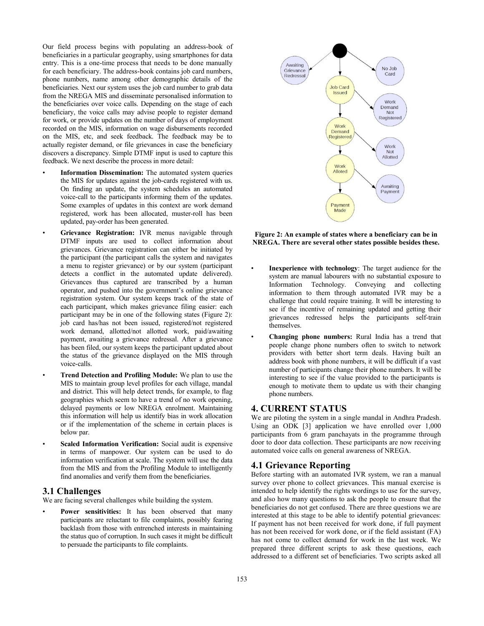Our field process begins with populating an address-book of beneficiaries in a particular geography, using smartphones for data entry. This is a one-time process that needs to be done manually for each beneficiary. The address-book contains job card numbers, phone numbers, name among other demographic details of the beneficiaries. Next our system uses the job card number to grab data from the NREGA MIS and disseminate personalised information to the beneficiaries over voice calls. Depending on the stage of each beneficiary, the voice calls may advise people to register demand for work, or provide updates on the number of days of employment recorded on the MIS, information on wage disbursements recorded on the MIS, etc, and seek feedback. The feedback may be to actually register demand, or file grievances in case the beneficiary discovers a discrepancy. Simple DTMF input is used to capture this feedback. We next describe the process in more detail:

- **Information Dissemination:** The automated system queries the MIS for updates against the job-cards registered with us. On finding an update, the system schedules an automated voice-call to the participants informing them of the updates. Some examples of updates in this context are work demand registered, work has been allocated, muster-roll has been updated, pay-order has been generated.
- **Grievance Registration:** IVR menus navigable through DTMF inputs are used to collect information about grievances. Grievance registration can either be initiated by the participant (the participant calls the system and navigates a menu to register grievance) or by our system (participant detects a conflict in the automated update delivered). Grievances thus captured are transcribed by a human operator, and pushed into the government's online grievance registration system. Our system keeps track of the state of each participant, which makes grievance filing easier: each participant may be in one of the following states (Figure 2): job card has/has not been issued, registered/not registered work demand, allotted/not allotted work, paid/awaiting payment, awaiting a grievance redressal. After a grievance has been filed, our system keeps the participant updated about the status of the grievance displayed on the MIS through voice-calls.
- **Trend Detection and Profiling Module:** We plan to use the MIS to maintain group level profiles for each village, mandal and district. This will help detect trends, for example, to flag geographies which seem to have a trend of no work opening, delayed payments or low NREGA enrolment. Maintaining this information will help us identify bias in work allocation or if the implementation of the scheme in certain places is below par.
- **Scaled Information Verification:** Social audit is expensive in terms of manpower. Our system can be used to do information verification at scale. The system will use the data from the MIS and from the Profiling Module to intelligently find anomalies and verify them from the beneficiaries.

#### **3.1 Challenges**

We are facing several challenges while building the system.

Power sensitivities: It has been observed that many participants are reluctant to file complaints, possibly fearing backlash from those with entrenched interests in maintaining the status quo of corruption. In such cases it might be difficult to persuade the participants to file complaints.



**Figure 2: An example of states where a beneficiary can be in NREGA. There are several other states possible besides these.** 

- **Inexperience with technology**: The target audience for the system are manual labourers with no substantial exposure to Information Technology. Conveying and collecting information to them through automated IVR may be a challenge that could require training. It will be interesting to see if the incentive of remaining updated and getting their grievances redressed helps the participants self-train themselves.
- **Changing phone numbers:** Rural India has a trend that people change phone numbers often to switch to network providers with better short term deals. Having built an address book with phone numbers, it will be difficult if a vast number of participants change their phone numbers. It will be interesting to see if the value provided to the participants is enough to motivate them to update us with their changing phone numbers.

# **4. CURRENT STATUS**

We are piloting the system in a single mandal in Andhra Pradesh. Using an ODK [3] application we have enrolled over 1,000 participants from 6 gram panchayats in the programme through door to door data collection. These participants are now receiving automated voice calls on general awareness of NREGA.

# **4.1 Grievance Reporting**

Before starting with an automated IVR system, we ran a manual survey over phone to collect grievances. This manual exercise is intended to help identify the rights wordings to use for the survey, and also how many questions to ask the people to ensure that the beneficiaries do not get confused. There are three questions we are interested at this stage to be able to identify potential grievances: If payment has not been received for work done, if full payment has not been received for work done, or if the field assistant (FA) has not come to collect demand for work in the last week. We prepared three different scripts to ask these questions, each addressed to a different set of beneficiaries. Two scripts asked all